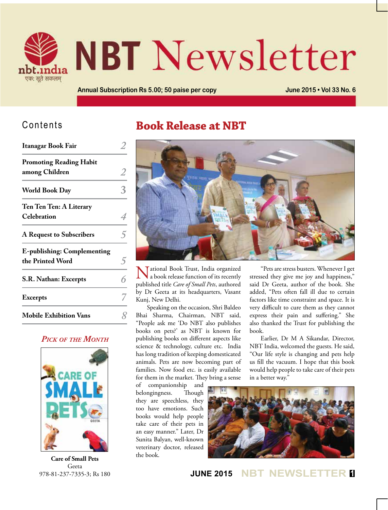

# **NBT** Newsletter

**Annual Subscription Rs 5.00; 50 paise per copy June 2015 • Vol 33 No. 6**

## Contents

| Itanagar Book Fair                                     |  |
|--------------------------------------------------------|--|
| <b>Promoting Reading Habit</b><br>among Children       |  |
| <b>World Book Day</b>                                  |  |
| Ten Ten Ten: A Literary<br>Celebration                 |  |
| <b>A Request to Subscribers</b>                        |  |
| <b>E-publishing: Complementing</b><br>the Printed Word |  |
| S.R. Nathan: Excerpts                                  |  |
| <b>Excerpts</b>                                        |  |
| <b>Mobile Exhibition Vans</b>                          |  |

### *Pick of the Month*



**Care of Small Pets** Geeta 978-81-237-7335-3; Rs 180

## **Book Release at NBT**



National Book Trust, India organized a book release function of its recently published title *Care of Small Pets*, authored by Dr Geeta at its headquarters, Vasant Kunj, New Delhi.

Speaking on the occasion, Shri Baldeo Bhai Sharma, Chairman, NBT said, "People ask me 'Do NBT also publishes books on pets?' as NBT is known for publishing books on different aspects like science & technology, culture etc. India has long tradition of keeping domesticated animals. Pets are now becoming part of families. Now food etc. is easily available for them in the market. They bring a sense

of companionship and belongingness. Though they are speechless, they too have emotions. Such books would help people take care of their pets in an easy manner." Later, Dr Sunita Balyan, well-known veterinary doctor, released the book.

"Pets are stress busters. Whenever I get stressed they give me joy and happiness," said Dr Geeta, author of the book. She added, "Pets often fall ill due to certain factors like time constraint and space. It is very difficult to cure them as they cannot express their pain and suffering." She also thanked the Trust for publishing the book.

Earlier, Dr M A Sikandar, Director, NBT India, welcomed the guests. He said, "Our life style is changing and pets help us fill the vacuum. I hope that this book would help people to take care of their pets in a better way."



**JUNE 2015 NBT NEWSLETTER <sup>1</sup>**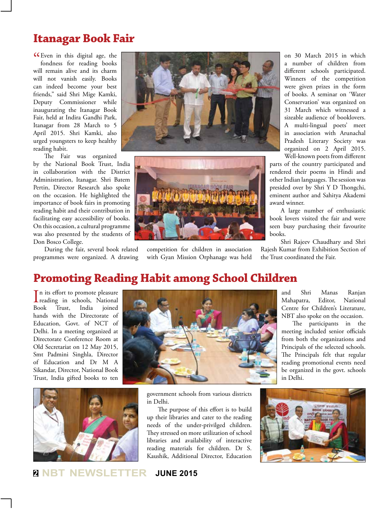## **Itanagar Book Fair**

**CE**ven in this digital age, the fondness for reading books fondness for reading books will remain alive and its charm will not vanish easily. Books can indeed become your best friends," said Shri Mige Kamki, Deputy Commissioner while inaugurating the Itanagar Book Fair, held at Indira Gandhi Park, Itanagar from 28 March to 5 April 2015. Shri Kamki, also urged youngsters to keep healthy reading habit.

The Fair was organized by the National Book Trust, India in collaboration with the District Administration, Itanagar. Shri Batem Pertin, Director Research also spoke on the occasion. He highlighted the importance of book fairs in promoting reading habit and their contribution in facilitating easy accessibility of books. On this occasion, a cultural programme was also presented by the students of Don Bosco College.

During the fair, several book related programmes were organized. A drawing





competition for children in association with Gyan Mission Orphanage was held

on 30 March 2015 in which a number of children from different schools participated. Winners of the competition were given prizes in the form of books. A seminar on 'Water Conservation' was organized on 31 March which witnessed a sizeable audience of booklovers. A multi-lingual poets' meet in association with Arunachal Pradesh Literary Society was organized on 2 April 2015. Well-known poets from different

parts of the country participated and rendered their poems in Hindi and other Indian languages. The session was presided over by Shri Y D Thongchi, eminent author and Sahitya Akademi award winner.

A large number of enthusiastic book lovers visited the fair and were seen busy purchasing their favourite books.

Shri Rajeev Chaudhary and Shri Rajesh Kumar from Exhibition Section of the Trust coordinated the Fair.

## **Promoting Reading Habit among School Children**

In its effort to promote pleasure<br>reading in schools, National In its effort to promote pleasure Book Trust, India joined hands with the Directorate of Education, Govt. of NCT of Delhi. In a meeting organized at Directorate Conference Room at Old Secretariat on 12 May 2015, Smt Padmini Singhla, Director of Education and Dr M A Sikandar, Director, National Book Trust, India gifted books to ten



and Shri Manas Ranjan Mahapatra, Editor, National Centre for Children's Literature, NBT also spoke on the occasion.

The participants in the meeting included senior officials from both the organizations and Principals of the selected schools. The Principals felt that regular reading promotional events need be organized in the govt. schools in Delhi.



government schools from various districts in Delhi.

The purpose of this effort is to build up their libraries and cater to the reading needs of the under-privilged children. They stressed on more utilization of school libraries and availability of interactive reading materials for children. Dr S. Kaushik, Additional Director, Education



**<sup>2</sup> NBT NEWSLETTER JUNE 2015**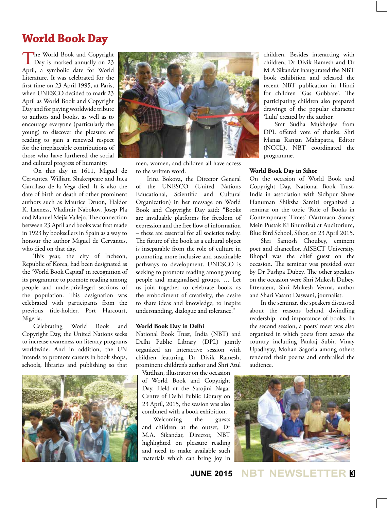## **World Book Day**

The World Book and Copyright<br>Day is marked annually on 23 April, a symbolic date for World Literature. It was celebrated for the first time on 23 April 1995, at Paris, when UNESCO decided to mark 23 April as World Book and Copyright Day and for paying worldwide tribute to authors and books, as well as to encourage everyone (particularly the young) to discover the pleasure of reading to gain a renewed respect for the irreplaceable contributions of those who have furthered the social and cultural progress of humanity.

On this day in 1611, Miguel de Cervantes, William Shakespeare and Inca Garcilaso de la Vega died. It is also the date of birth or death of other prominent authors such as Maurice Druon, Haldor K. Laxness, Vladimir Nabokov, Josep Pla and Manuel Mejía Vallejo. The connection between 23 April and books was first made in 1923 by booksellers in Spain as a way to honour the author Miguel de Cervantes, who died on that day.

This year, the city of Incheon, Republic of Korea, had been designated as the 'World Book Capital' in recognition of its programme to promote reading among people and underprivileged sections of the population. This designation was celebrated with participants from the previous title-holder, Port Harcourt, Nigeria.

Celebrating World Book and Copyright Day, the United Nations seeks to increase awareness on literacy programs worldwide. And in addition, the UN intends to promote careers in book shops, schools, libraries and publishing so that





men, women, and children all have access to the written word.

Irina Bokova, the Director General of the UNESCO (United Nations Educational, Scientific and Cultural Organization) in her message on World Book and Copyright Day said: "Books are invaluable platforms for freedom of expression and the free flow of information – these are essential for all societies today. The future of the book as a cultural object is inseparable from the role of culture in promoting more inclusive and sustainable pathways to development. UNESCO is seeking to promote reading among young people and marginalised groups. … Let us join together to celebrate books as the embodiment of creativity, the desire to share ideas and knowledge, to inspire understanding, dialogue and tolerance."

#### **World Book Day in Delhi**

National Book Trust, India (NBT) and Delhi Public Library (DPL) jointly organized an interactive session with children featuring Dr Divik Ramesh, prominent children's author and Shri Atul

Vardhan, illustrator on the occasion of World Book and Copyright Day. Held at the Sarojini Nagar Centre of Delhi Public Library on 23 April, 2015, the session was also combined with a book exhibition.<br>Welcoming the guests

Welcoming the and children at the outset, Dr M.A. Sikandar, Director, NBT highlighted on pleasure reading and need to make available such materials which can bring joy in children. Besides interacting with children, Dr Divik Ramesh and Dr M A Sikandar inaugurated the NBT book exhibition and released the recent NBT publication in Hindi for children 'Gas Gubbare'. The participating children also prepared drawings of the popular character 'Lulu' created by the author.

Smt Sudha Mukherjee from DPL offered vote of thanks. Shri Manas Ranjan Mahapatra, Editor (NCCL), NBT coordinated the programme.

#### **World Book Day in Sihor**

On the occasion of World Book and Copyright Day, National Book Trust, India in association with Sidhpur Shree Hanuman Shiksha Samiti organized a seminar on the topic 'Role of Books in Contemporary Times' (Vartmaan Samay Mein Pustak Ki Bhumika) at Auditorium, Blue Bird School, Sihor, on 23 April 2015.

Shri Santosh Choubey, eminent poet and chancellor, AISECT University, Bhopal was the chief guest on the occasion. The seminar was presided over by Dr Pushpa Dubey. The other speakers on the occasion were Shri Mukesh Dubey, litterateur, Shri Mukesh Verma, author and Shari Vasant Daswani, journalist.

In the seminar, the speakers discussed about the reasons behind dwindling readership and importance of books. In the second session, a poets' meet was also organized in which poets from across the country including Pankaj Subir, Vinay Upadhyay, Mohan Sagoria among others rendered their poems and enthralled the audience.



**JUNE 2015 NBT NEWSLETTER <sup>3</sup>**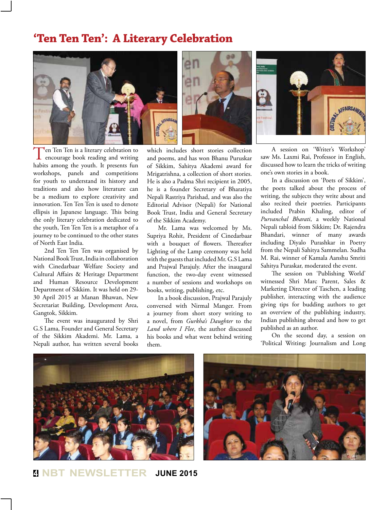## **'Ten Ten Ten': A Literary Celebration**



Ten Ten Ten is a literary celebration to encourage book reading and writing habits among the youth. It presents fun workshops, panels and competitions for youth to understand its history and traditions and also how literature can be a medium to explore creativity and innovation. Ten Ten Ten is used to denote ellipsis in Japanese language. This being the only literary celebration dedicated to the youth, Ten Ten Ten is a metaphor of a journey to be continued to the other states of North East India.

2nd Ten Ten Ten was organised by National Book Trust, India in collaboration with Cinedarbaar Welfare Society and Cultural Affairs & Heritage Department and Human Resource Development Department of Sikkim. It was held on 29- 30 April 2015 at Manan Bhawan, New Secretariat Building, Development Area, Gangtok, Sikkim.

The event was inaugurated by Shri G.S Lama, Founder and General Secretary of the Sikkim Akademi. Mr. Lama, a Nepali author, has written several books

which includes short stories collection and poems, and has won Bhanu Puruskar of Sikkim, Sahitya Akademi award for Mrigatrishna, a collection of short stories. He is also a Padma Shri recipient in 2005, he is a founder Secretary of Bharatiya Nepali Rastriya Parishad, and was also the Editorial Advisor (Nepali) for National Book Trust, India and General Secretary of the Sikkim Academy.

Mr. Lama was welcomed by Ms. Supriya Rohit, President of Cinedarbaar with a bouquet of flowers. Thereafter Lighting of the Lamp ceremony was held with the guests that included Mr. G.S Lama and Prajwal Parajuly. After the inaugural function, the two-day event witnessed a number of sessions and workshops on books, writing, publishing, etc.

In a book discussion, Prajwal Parajuly conversed with Nirmal Manger. From a journey from short story writing to a novel, from *Gurkha's Daughter* to the *Land where I Flee*, the author discussed his books and what went behind writing them.



A session on 'Writer's Workshop' saw Ms. Laxmi Rai, Professor in English, discussed how to learn the tricks of writing one's own stories in a book.

In a discussion on 'Poets of Sikkim', the poets talked about the process of writing, the subjects they write about and also recited their poetries. Participants included Prabin Khaling, editor of *Purvanchal Bharati*, a weekly National Nepali tabloid from Sikkim; Dr. Rajendra Bhandari, winner of many awards including Diyalo Purashkar in Poetry from the Nepali Sahitya Sammelan. Sudha M. Rai, winner of Kamala Aanshu Smriti Sahitya Puraskar, moderated the event.

The session on 'Publishing World' witnessed Shri Marc Parent, Sales & Marketing Director of Taschen, a leading publisher, interacting with the audience giving tips for budding authors to get an overview of the publishing industry, Indian publishing abroad and how to get published as an author.

On the second day, a session on 'Political Writing: Journalism and Long





**<sup>4</sup> NBT NEWSLETTER JUNE 2015**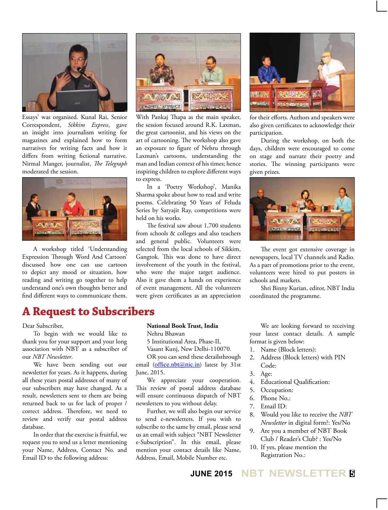

Essays' was organised. Kunal Rai, Senior Correspondent, *Sikkim Express*, gave an insight into journalism writing for magazines and explained how to form narratives for writing facts and how it differs from writing fictional narrative. Nirmal Manger, journalist, *The Telegraph*  moderated the session.



A workshop titled 'Understanding Expression Through Word And Cartoon' discussed how one can use cartoon to depict any mood or situation, how reading and writing go together to help understand one's own thoughts better and find different ways to communicate them.



With Pankaj Thapa as the main speaker, the session focused around R.K. Laxman, the great cartoonist, and his views on the art of cartooning. The workshop also gave an exposure to figure of Nehru through Laxman's cartoons, understanding the man and Indian context of his times; hence inspiring children to explore different ways to express.

In a 'Poetry Workshop', Manika Sharma spoke about how to read and write poems. Celebrating 50 Years of Feluda Series by Satyajit Ray, competitions were held on his works.

The festival saw about 1,700 students from schools & colleges and also teachers and general public. Volunteers were selected from the local schools of Sikkim, Gangtok. This was done to have direct involvement of the youth in the festival, who were the major target audience. Also it gave them a hands on experience of event management. All the volunteers were given certificates as an appreciation



for their efforts. Authors and speakers were also given certificates to acknowledge their participation.

During the workshop, on both the days, children were encouraged to come on stage and narrate their poetry and stories. The winning participants were given prizes.



The event got extensive coverage in newspapers, local TV channels and Radio. As a part of promotions prior to the event, volunteers were hired to put posters in schools and markets.

Shri Binny Kurian, editor, NBT India coordinated the programme.

## **A Request to Subscribers**

#### Dear Subscriber,

To begin with we would like to thank you for your support and your long association with NBT as a subscriber of our *NBT Newsletter*.

We have been sending out our newsletter for years. As it happens, during all these years postal addresses of many of our subscribers may have changed. As a result, newsletters sent to them are being returned back to us for lack of proper / correct address. Therefore, we need to review and verify our postal address database.

In order that the exercise is fruitful, we request you to send us a letter mentioning your Name, Address, Contact No. and Email ID to the following address:

#### **National Book Trust, India**

Nehru Bhawan

5 Institutional Area, Phase-II,

Vasant Kunj, New Delhi-110070.

OR you can send these detailsthrough email (office.nbt@nic.in) latest by 31st June, 2015.

We appreciate your cooperation. This review of postal address database will ensure continuous dispatch of NBT newsletters to you without delay.

Further, we will also begin our service to send e-newsletters. If you wish to subscribe to the same by email, please send us an email with subject "NBT Newsletter e-Subscription". In this email, please mention your contact details like Name, Address, Email, Mobile Number etc.

We are looking forward to receiving your latest contact details. A sample format is given below:

- 1. Name (Block letters):
- 2. Address (Block letters) with PIN Code:
- 3. Age:
- 4. Educational Qualification:
- 5. Occupation:
- 6. Phone No.:
- 7. Email ID:
- 8. Would you like to receive the *NBT Newsletter* in digital form?: Yes/No
- 9. Are you a member of NBT Book Club / Reader's Club? : Yes/No
- 10. If yes, please mention the Registration No.:

## **JUNE 2015 NBT NEWSLETTER <sup>5</sup>**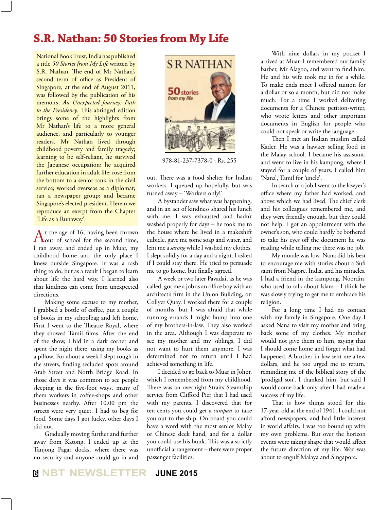## **S.R. Nathan: 50 Stories from My Life**

National Book Trust, India has published a title *50 Stories from My Life* written by S.R. Nathan. The end of Mr Nathan's second term of office as President of Singapore, at the end of August 2011, was followed by the publication of his memoirs, *An Unexpected Journey: Path to the Presidency*. This abridged edition brings some of the highlights from Mr Nathan's life to a more general audience, and particularly to younger readers. Mr Nathan lived through childhood poverty and family tragedy; learning to be self-reliant, he survived the Japanese occupation; he acquired further education in adult life; rose from the bottom to a senior rank in the civil service; worked overseas as a diplomat; ran a newspaper group; and became Singapore's elected president. Herein we reproduce an exerpt from the Chapter 'Life as a Runaway'.

At the age of 16, having been thrown<br>
out of school for the second time, I ran away, and ended up in Muar, my childhood home and the only place I knew outside Singapore. It was a rash thing to do, but as a result I began to learn about life the hard way. I learned also that kindness can come from unexpected directions.

Making some excuse to my mother, I grabbed a bottle of coffee, put a couple of books in my schoolbag and left home. First I went to the Theatre Royal, where they showed Tamil films. After the end of the show, I hid in a dark corner and spent the night there, using my books as a pillow. For about a week I slept rough in the streets, finding secluded spots around Arab Street and North Bridge Road. In those days it was common to see people sleeping in the five-foot ways, many of them workers in coffee-shops and other businesses nearby. After 10.00 pm the streets were very quiet. I had to beg for food. Some days I got lucky, other days I did not.

Gradually moving further and further away from Katong, I ended up at the Tanjong Pagar docks, where there was no security and anyone could go in and



978-81-237-7378-0 ; Rs. 255

out. There was a food shelter for Indian workers. I queued up hopefully, but was turned away – 'Workers only!'

A bystander saw what was happening, and in an act of kindness shared his lunch with me. I was exhausted and hadn't washed properly for days – he took me to the house where he lived in a makeshift cubicle, gave me some soap and water, and lent me a *sarong* while I washed my clothes. I slept solidly for a day and a night. I asked if I could stay there. He tried to persuade me to go home, but finally agreed.

A week or two later Pavadai, as he was called, got me a job as an office boy with an architect's firm in the Union Building, on Collyer Quay. I worked there for a couple of months, but I was afraid that while running errands I might bump into one of my brothers-in-law. They also worked in the area. Although I was desperate to see my mother and my siblings, I did not want to hurt them anymore. I was determined not to return until I had achieved something in life.

I decided to go back to Muar in Johor, which I remembered from my childhood. There was an overnight Straits Steamship service from Clifford Pier that I had used with my parents. I discovered that for ten cents you could get a *sampan* to take you out to the ship. On board you could have a word with the most senior Malay or Chinese deck hand, and for a dollar you could use his bunk. This was a strictly unofficial arrangement – there were proper passenger facilities.

With nine dollars in my pocket I arrived at Muar. I remembered our family barber, Mr Alagoo, and went to find him. He and his wife took me in for a while. To make ends meet I offered tuition for a dollar or so a month, but did not make much. For a time I worked delivering documents for a Chinese petition-writer, who wrote letters and other important documents in English for people who could not speak or write the language.

Then I met an Indian muslim called Kader. He was a hawker selling food in the Malay school. I became his assistant, and went to live in his kampong, where I stayed for a couple of years. I called him 'Nana', Tamil for 'uncle'.

In search of a job I went to the lawyer's office where my father had worked, and above which we had lived. The chief clerk and his colleagues remembered me, and they were friendly enough, but they could not help. I got an appointment with the owner's son, who could hardly be bothered to take his eyes off the document he was reading while telling me there was no job.

My morale was low. Nana did his best to encourage me with stories about a Sufi saint from Nagore, India, and his miracles. I had a friend in the kampong, Noordin, who used to talk about Islam – I think he was slowly trying to get me to embrace his religion.

For a long time I had no contact with my family in Singapore. One day I asked Nana to visit my mother and bring back some of my clothes. My mother would not give them to him, saying that I should come home and forget what had happened. A brother-in-law sent me a few dollars, and he too urged me to return, reminding me of the biblical story of the 'prodigal son'. I thanked him, but said I would come back only after I had made a success of my life.

That is how things stood for this 17-year-old at the end of 1941. I could not afford newspapers, and had little interest in world affairs. I was too bound up with my own problems. But over the horizon events were taking shape that would affect the future direction of my life. War was about to engulf Malaya and Singapore.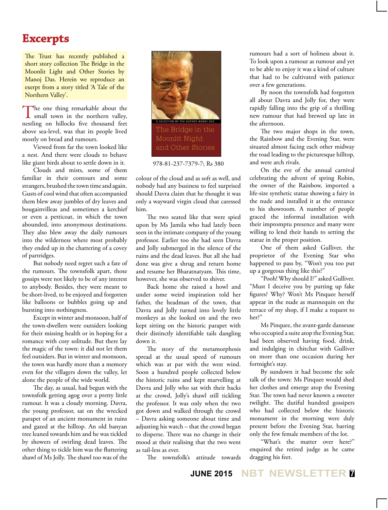## **Excerpts**

The Trust has recently published a short story collection The Bridge in the Moonlit Light and Other Stories by Manoj Das. Herein we reproduce an exerpt from a story titled 'A Tale of the Northern Valley'.

The one thing remarkable about the small town in the northern valley, nestling on hillocks five thousand feet above sea-level, was that its people lived mostly on bread and rumours.

Viewed from far the town looked like a nest. And there were clouds to behave like giant birds about to settle down in it.

Clouds and mists, some of them familiar in their contours and some strangers, brushed the town time and again. Gusts of cool wind that often accompanied them blew away jumbles of dry leaves and bougainvilleas and sometimes a kerchief or even a petticoat, in which the town abounded, into anonymous destinations. They also blew away the daily rumours into the wilderness where most probably they ended up in the chattering of a covey of partridges.

But nobody need regret such a fate of the rumours. The townsfolk apart, those gossips were not likely to be of any interest to anybody. Besides, they were meant to be short-lived, to be enjoyed and forgotten like balloons or bubbles going up and bursting into nothingness.

Except in winter and monsoon, half of the town-dwellers were outsiders looking for their missing health or in hoping for a romance with cosy solitude. But there lay the magic of the town: it did not let them feel outsiders. But in winter and monsoon, the town was hardly more than a memory even for the villagers down the valley, let alone the people of the wide world.

The day, as usual, had begun with the townsfolk getting agog over a pretty little rumour. It was a cloudy morning. Davra, the young professor, sat on the wrecked parapet of an ancient monument in ruins and gazed at the hilltop. An old banyan tree leaned towards him and he was tickled by showers of swirling dead leaves. The other thing to tickle him was the fluttering shawl of Ms Jolly. The shawl too was of the



978-81-237-7379-7; Rs 380

colour of the cloud and as soft as well, and nobody had any business to feel surprised should Davra claim that he thought it was only a wayward virgin cloud that caressed him.

The two seated like that were spied upon by Ms Jamila who had lately been seen in the intimate company of the young professor. Earlier too she had seen Davra and Jolly submerged in the silence of the ruins and the dead leaves. But all she had done was give a shrug and return home and resume her Bharatnatyam. This time, however, she was observed to shiver.

Back home she raised a howl and under some weird inspiration told her father, the headman of the town, that Davra and Jolly turned into lovely little monkeys as she looked on and the two kept sitting on the historic parapet with their distinctly identifiable tails dangling down it.

The story of the metamorphosis spread at the usual speed of rumours which was at par with the west wind. Soon a hundred people collected below the historic ruins and kept marvelling at Davra and Jolly who sat with their backs at the crowd, Jolly's shawl still tickling the professor. It was only when the two got down and walked through the crowd – Davra asking someone about time and adjusting his watch – that the crowd began to disperse. There was no change in their mood at their realising that the two went as tail-less as ever.

The townsfolk's attitude towards

rumours had a sort of holiness about it. To look upon a rumour as rumour and yet to be able to enjoy it was a kind of culture that had to be cultivated with patience over a few generations.

By noon the townsfolk had forgotten all about Davra and Jolly for, they were rapidly falling into the grip of a thrilling new rumour that had brewed up late in the afternoon.

The two major shops in the town, the Rainbow and the Evening Star, were situated almost facing each other midway the road leading to the picturesque hilltop, and were arch rivals.

On the eve of the annual carnival celebrating the advent of spring Robin, the owner of the Rainbow, imported a life-size synthetic statue showing a fairy in the nude and installed it at the entrance to his showroom. A number of people graced the informal installation with their impromptu presence and many were willing to lend their hands to setting the statue in the proper position.

One of them asked Gulliver, the proprietor of the Evening Star who happened to pass by, "Won't you too put up a gorgeous thing like this?"

"Pooh! Why should I?" asked Gulliver. "Must I deceive you by putting up fake figures? Why? Won't Ms Pinquee herself appear in the nude as mannequin on the terrace of my shop, if I make a request to her?"

Ms Pinquee, the avant-garde danseuse who occupied a suite atop the Evening Star, had been observed having food, drink, and indulging in chitchat with Gulliver on more than one occasion during her fortnight's stay.

By sundown it had become the sole talk of the town: Ms Pinquee would shed her clothes and emerge atop the Evening Star. The town had never known a sweeter twilight. The dutiful hundred gossipers who had collected below the historic monument in the morning were duly present before the Evening Star, barring only the few female members of the lot.

"What's the matter over here?" enquired the retired judge as he came dragging his feet.